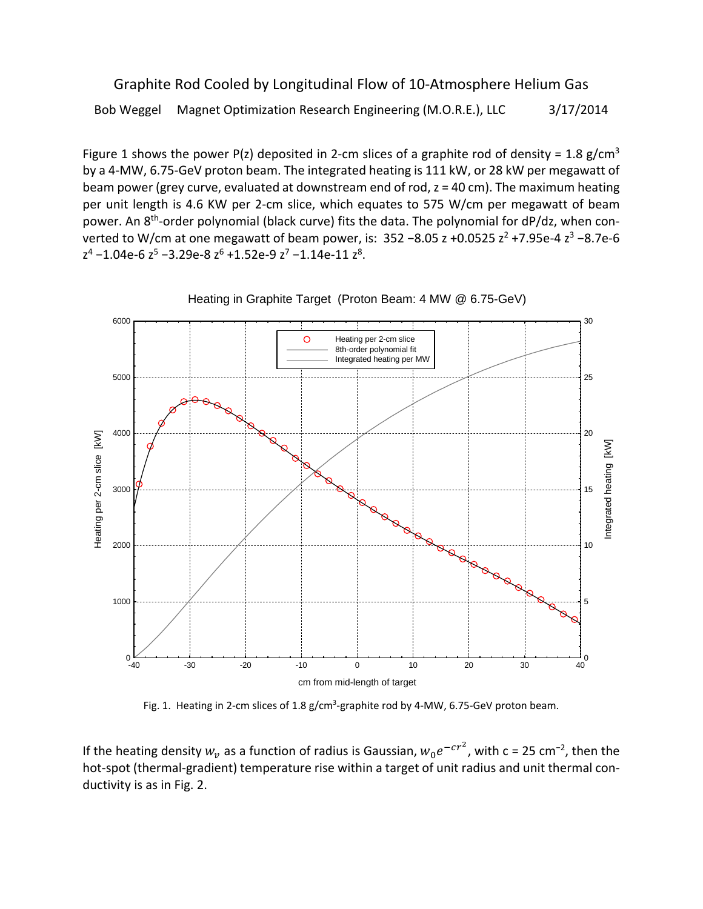Graphite Rod Cooled by Longitudinal Flow of 10‐Atmosphere Helium Gas Bob Weggel Magnet Optimization Research Engineering (M.O.R.E.), LLC 3/17/2014

Figure 1 shows the power P(z) deposited in 2-cm slices of a graphite rod of density = 1.8 g/cm<sup>3</sup> by a 4‐MW, 6.75‐GeV proton beam. The integrated heating is 111 kW, or 28 kW per megawatt of beam power (grey curve, evaluated at downstream end of rod, z = 40 cm). The maximum heating per unit length is 4.6 KW per 2-cm slice, which equates to 575 W/cm per megawatt of beam power. An 8<sup>th</sup>-order polynomial (black curve) fits the data. The polynomial for dP/dz, when converted to W/cm at one megawatt of beam power, is:  $352 - 8.05$  z +0.0525  $z^2$  +7.95e-4  $z^3$  -8.7e-6  $z^4$  –1.04e-6  $z^5$  –3.29e-8  $z^6$  +1.52e-9  $z^7$  –1.14e-11  $z^8$ .



Heating in Graphite Target (Proton Beam: 4 MW @ 6.75-GeV)

Fig. 1. Heating in 2-cm slices of 1.8 g/cm<sup>3</sup>-graphite rod by 4-MW, 6.75-GeV proton beam.

If the heating density  $w_v$  as a function of radius is Gaussian,  $w_0e^{-cr^2}$ , with c = 25 cm<sup>-2</sup>, then the hot-spot (thermal-gradient) temperature rise within a target of unit radius and unit thermal conductivity is as in Fig. 2.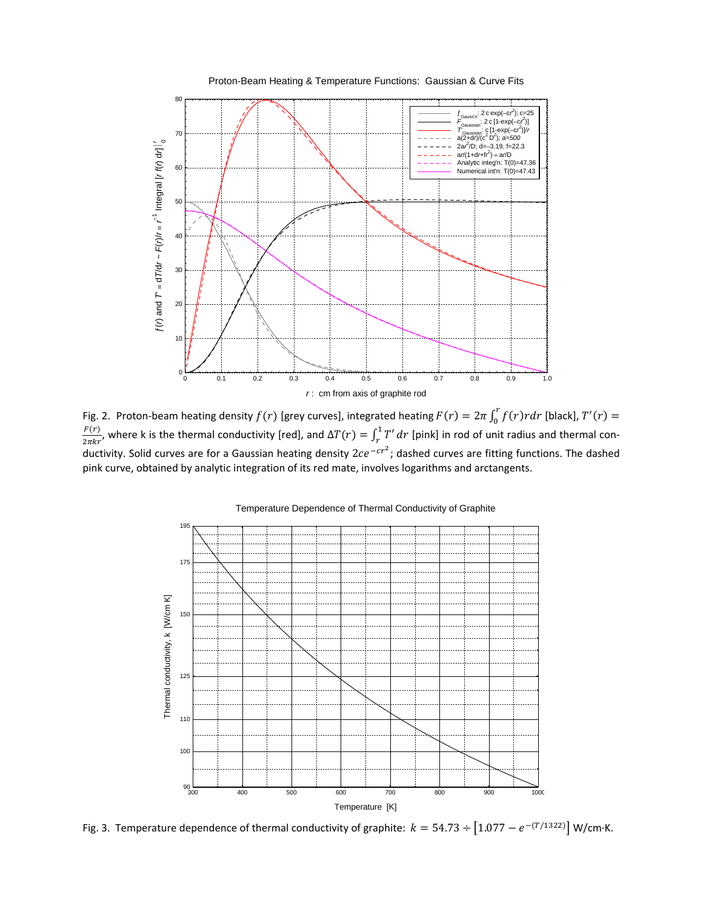

Fig. 2. Proton-beam heating density  $f(r)$  [grey curves], integrated heating  $F(r) = 2\pi \int_0^r f(r)r dr$  [black],  $T'(r) =$  $\frac{F(r)}{2\pi kr}$ , where k is the thermal conductivity [red], and  $\Delta T(r) = \int_r^1 T' dr$  [pink] in rod of unit radius and thermal conductivity. Solid curves are for a Gaussian heating density  $2ce^{-cr^2}$ ; dashed curves are fitting functions. The dashed pink curve, obtained by analytic integration of its red mate, involves logarithms and arctangents.



Fig. 3. Temperature dependence of thermal conductivity of graphite:  $k = 54.73 \div [1.077 - e^{-(T/1322)}]$  W/cm⋅K.

Proton-Beam Heating & Temperature Functions: Gaussian & Curve Fits